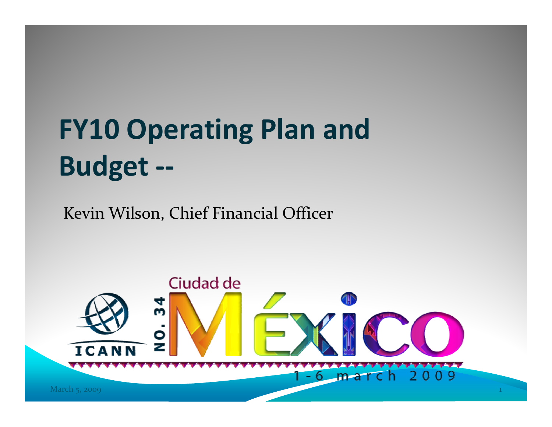# **FY10 Operating Plan and Budget ‐‐**

Kevin Wilson, Chief Financial Officer

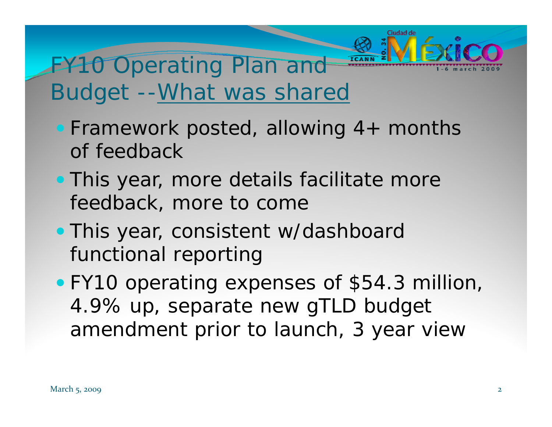# FY<sub>10</sub> Operating Plan and Budget --What was shared

- Framework posted, allowing 4+ months of feedback
- This year, more details facilitate more feedback, more to come
- . This year, consistent w/dashboard functional reporting
- FY10 operating expenses of \$54.3 million, 4.9% up, separate new gTLD budget amendment prior to launch, 3 year view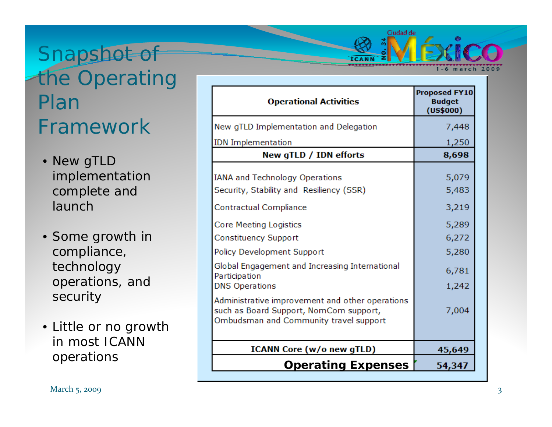## Snapshot of the Operating Plan Framework

- New gTLD implementation complete and launch
- Some growth in compliance, technology operations, and security
- Little or no growth in most ICANN operations

| <b>Operational Activities</b>                                                                                                                                                                                                                                                                  | <b>Proposed FY10</b><br><b>Budget</b><br>(US\$000)                   |
|------------------------------------------------------------------------------------------------------------------------------------------------------------------------------------------------------------------------------------------------------------------------------------------------|----------------------------------------------------------------------|
| New gTLD Implementation and Delegation                                                                                                                                                                                                                                                         | 7,448                                                                |
| <b>IDN</b> Implementation                                                                                                                                                                                                                                                                      | 1,250                                                                |
| New gTLD / IDN efforts                                                                                                                                                                                                                                                                         | 8,698                                                                |
| <b>IANA and Technology Operations</b><br>Security, Stability and Resiliency (SSR)<br>Contractual Compliance<br>Core Meeting Logistics<br><b>Constituency Support</b><br>Policy Development Support<br>Global Engagement and Increasing International<br>Participation<br><b>DNS Operations</b> | 5,079<br>5,483<br>3,219<br>5,289<br>6,272<br>5,280<br>6,781<br>1,242 |
| Administrative improvement and other operations<br>such as Board Support, NomCom support,<br>Ombudsman and Community travel support                                                                                                                                                            | 7,004                                                                |
| <b>ICANN Core (w/o new gTLD)</b>                                                                                                                                                                                                                                                               | 45,649                                                               |
| <b>Operating Expenses</b>                                                                                                                                                                                                                                                                      | 54,347                                                               |

Ciudad de

1-6 march 2009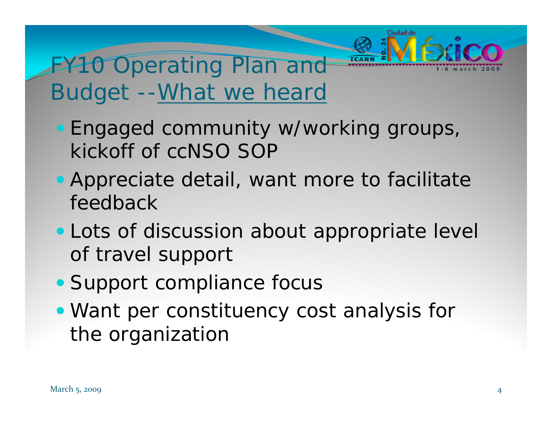# FY<sub>10</sub> Operating Plan and Budget --What we heard

- Engaged community w/working groups, kickoff of ccNSO SOP
- Appreciate detail, want more to facilitate feedback
- Lots of discussion about appropriate level of travel support
- Support compliance focus
- Want per constituency cost analysis for the organization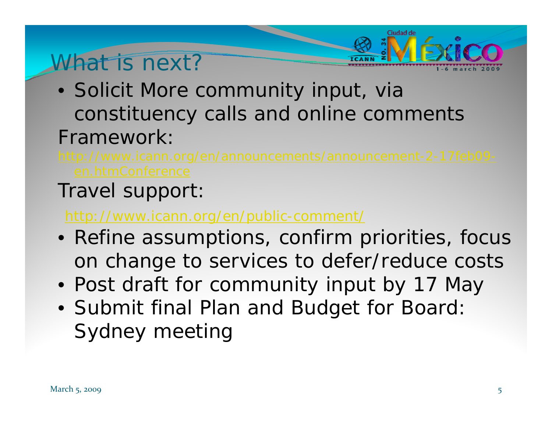### What is next?

- Solicit More community input, via constituency calls and online comments Framework:
- 

Ciudad de

#### Travel support:

#### http://www.icann.org/en/public-comment/

- Refine assumptions, confirm priorities, focus on change to services to defer/reduce costs
- Post draft for community input by 17 May
- Submit final Plan and Budget for Board: Sydney meeting